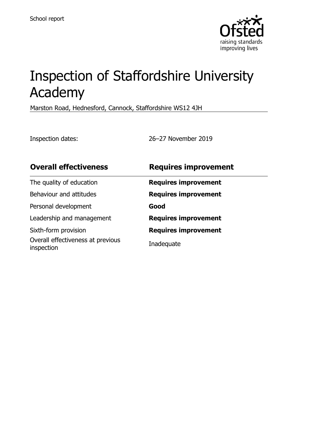

# Inspection of Staffordshire University Academy

Marston Road, Hednesford, Cannock, Staffordshire WS12 4JH

Inspection dates: 26–27 November 2019

| <b>Overall effectiveness</b>                    | <b>Requires improvement</b> |
|-------------------------------------------------|-----------------------------|
| The quality of education                        | <b>Requires improvement</b> |
| Behaviour and attitudes                         | <b>Requires improvement</b> |
| Personal development                            | Good                        |
| Leadership and management                       | <b>Requires improvement</b> |
| Sixth-form provision                            | <b>Requires improvement</b> |
| Overall effectiveness at previous<br>inspection | Inadequate                  |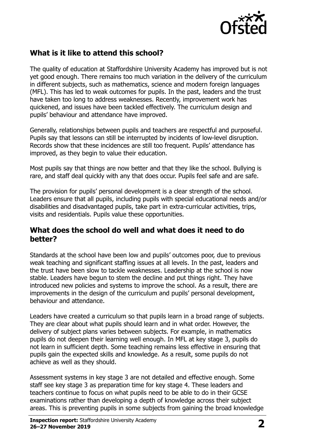

# **What is it like to attend this school?**

The quality of education at Staffordshire University Academy has improved but is not yet good enough. There remains too much variation in the delivery of the curriculum in different subjects, such as mathematics, science and modern foreign languages (MFL). This has led to weak outcomes for pupils. In the past, leaders and the trust have taken too long to address weaknesses. Recently, improvement work has quickened, and issues have been tackled effectively. The curriculum design and pupils' behaviour and attendance have improved.

Generally, relationships between pupils and teachers are respectful and purposeful. Pupils say that lessons can still be interrupted by incidents of low-level disruption. Records show that these incidences are still too frequent. Pupils' attendance has improved, as they begin to value their education.

Most pupils say that things are now better and that they like the school. Bullying is rare, and staff deal quickly with any that does occur. Pupils feel safe and are safe.

The provision for pupils' personal development is a clear strength of the school. Leaders ensure that all pupils, including pupils with special educational needs and/or disabilities and disadvantaged pupils, take part in extra-curricular activities, trips, visits and residentials. Pupils value these opportunities.

### **What does the school do well and what does it need to do better?**

Standards at the school have been low and pupils' outcomes poor, due to previous weak teaching and significant staffing issues at all levels. In the past, leaders and the trust have been slow to tackle weaknesses. Leadership at the school is now stable. Leaders have begun to stem the decline and put things right. They have introduced new policies and systems to improve the school. As a result, there are improvements in the design of the curriculum and pupils' personal development, behaviour and attendance.

Leaders have created a curriculum so that pupils learn in a broad range of subjects. They are clear about what pupils should learn and in what order. However, the delivery of subject plans varies between subjects. For example, in mathematics pupils do not deepen their learning well enough. In MFL at key stage 3, pupils do not learn in sufficient depth. Some teaching remains less effective in ensuring that pupils gain the expected skills and knowledge. As a result, some pupils do not achieve as well as they should.

Assessment systems in key stage 3 are not detailed and effective enough. Some staff see key stage 3 as preparation time for key stage 4. These leaders and teachers continue to focus on what pupils need to be able to do in their GCSE examinations rather than developing a depth of knowledge across their subject areas. This is preventing pupils in some subjects from gaining the broad knowledge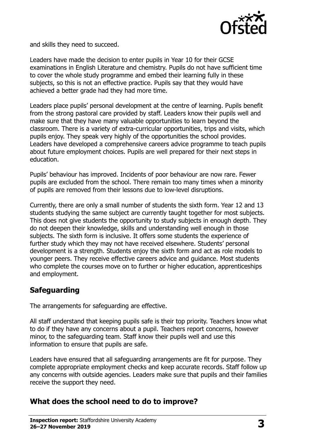

and skills they need to succeed.

Leaders have made the decision to enter pupils in Year 10 for their GCSE examinations in English Literature and chemistry. Pupils do not have sufficient time to cover the whole study programme and embed their learning fully in these subjects, so this is not an effective practice. Pupils say that they would have achieved a better grade had they had more time.

Leaders place pupils' personal development at the centre of learning. Pupils benefit from the strong pastoral care provided by staff. Leaders know their pupils well and make sure that they have many valuable opportunities to learn beyond the classroom. There is a variety of extra-curricular opportunities, trips and visits, which pupils enjoy. They speak very highly of the opportunities the school provides. Leaders have developed a comprehensive careers advice programme to teach pupils about future employment choices. Pupils are well prepared for their next steps in education.

Pupils' behaviour has improved. Incidents of poor behaviour are now rare. Fewer pupils are excluded from the school. There remain too many times when a minority of pupils are removed from their lessons due to low-level disruptions.

Currently, there are only a small number of students the sixth form. Year 12 and 13 students studying the same subject are currently taught together for most subjects. This does not give students the opportunity to study subjects in enough depth. They do not deepen their knowledge, skills and understanding well enough in those subjects. The sixth form is inclusive. It offers some students the experience of further study which they may not have received elsewhere. Students' personal development is a strength. Students enjoy the sixth form and act as role models to younger peers. They receive effective careers advice and guidance. Most students who complete the courses move on to further or higher education, apprenticeships and employment.

# **Safeguarding**

The arrangements for safeguarding are effective.

All staff understand that keeping pupils safe is their top priority. Teachers know what to do if they have any concerns about a pupil. Teachers report concerns, however minor, to the safeguarding team. Staff know their pupils well and use this information to ensure that pupils are safe.

Leaders have ensured that all safeguarding arrangements are fit for purpose. They complete appropriate employment checks and keep accurate records. Staff follow up any concerns with outside agencies. Leaders make sure that pupils and their families receive the support they need.

### **What does the school need to do to improve?**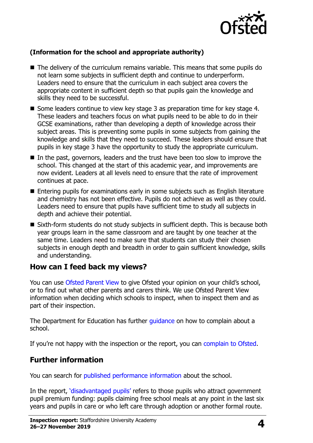

#### **(Information for the school and appropriate authority)**

- $\blacksquare$  The delivery of the curriculum remains variable. This means that some pupils do not learn some subjects in sufficient depth and continue to underperform. Leaders need to ensure that the curriculum in each subject area covers the appropriate content in sufficient depth so that pupils gain the knowledge and skills they need to be successful.
- Some leaders continue to view key stage 3 as preparation time for key stage 4. These leaders and teachers focus on what pupils need to be able to do in their GCSE examinations, rather than developing a depth of knowledge across their subject areas. This is preventing some pupils in some subjects from gaining the knowledge and skills that they need to succeed. These leaders should ensure that pupils in key stage 3 have the opportunity to study the appropriate curriculum.
- In the past, governors, leaders and the trust have been too slow to improve the school. This changed at the start of this academic year, and improvements are now evident. Leaders at all levels need to ensure that the rate of improvement continues at pace.
- Entering pupils for examinations early in some subjects such as English literature and chemistry has not been effective. Pupils do not achieve as well as they could. Leaders need to ensure that pupils have sufficient time to study all subjects in depth and achieve their potential.
- Sixth-form students do not study subjects in sufficient depth. This is because both year groups learn in the same classroom and are taught by one teacher at the same time. Leaders need to make sure that students can study their chosen subjects in enough depth and breadth in order to gain sufficient knowledge, skills and understanding.

### **How can I feed back my views?**

You can use [Ofsted Parent View](http://parentview.ofsted.gov.uk/) to give Ofsted your opinion on your child's school, or to find out what other parents and carers think. We use Ofsted Parent View information when deciding which schools to inspect, when to inspect them and as part of their inspection.

The Department for Education has further quidance on how to complain about a school.

If you're not happy with the inspection or the report, you can [complain to Ofsted.](http://www.gov.uk/complain-ofsted-report)

### **Further information**

You can search for [published performance information](http://www.compare-school-performance.service.gov.uk/) about the school.

In the report, '[disadvantaged pupils](http://www.gov.uk/guidance/pupil-premium-information-for-schools-and-alternative-provision-settings)' refers to those pupils who attract government pupil premium funding: pupils claiming free school meals at any point in the last six years and pupils in care or who left care through adoption or another formal route.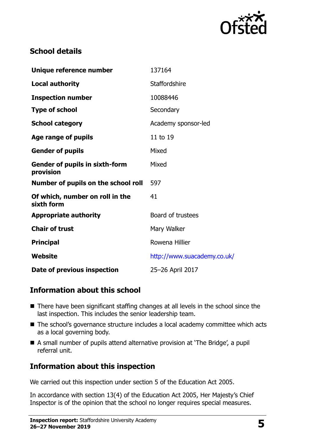

## **School details**

| Unique reference number                            | 137164                      |
|----------------------------------------------------|-----------------------------|
| <b>Local authority</b>                             | <b>Staffordshire</b>        |
| <b>Inspection number</b>                           | 10088446                    |
| <b>Type of school</b>                              | Secondary                   |
| <b>School category</b>                             | Academy sponsor-led         |
| Age range of pupils                                | 11 to 19                    |
| <b>Gender of pupils</b>                            | Mixed                       |
| <b>Gender of pupils in sixth-form</b><br>provision | Mixed                       |
| Number of pupils on the school roll                | 597                         |
| Of which, number on roll in the<br>sixth form      | 41                          |
| <b>Appropriate authority</b>                       | Board of trustees           |
| <b>Chair of trust</b>                              | Mary Walker                 |
| <b>Principal</b>                                   | Rowena Hillier              |
| <b>Website</b>                                     | http://www.suacademy.co.uk/ |
| Date of previous inspection                        | 25-26 April 2017            |

# **Information about this school**

- There have been significant staffing changes at all levels in the school since the last inspection. This includes the senior leadership team.
- The school's governance structure includes a local academy committee which acts as a local governing body.
- A small number of pupils attend alternative provision at 'The Bridge', a pupil referral unit.

# **Information about this inspection**

We carried out this inspection under section 5 of the Education Act 2005.

In accordance with section 13(4) of the Education Act 2005, Her Majesty's Chief Inspector is of the opinion that the school no longer requires special measures.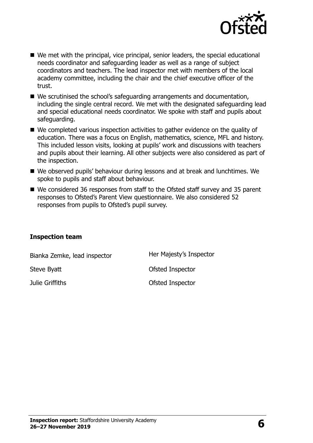

- We met with the principal, vice principal, senior leaders, the special educational needs coordinator and safeguarding leader as well as a range of subject coordinators and teachers. The lead inspector met with members of the local academy committee, including the chair and the chief executive officer of the trust.
- We scrutinised the school's safeguarding arrangements and documentation, including the single central record. We met with the designated safeguarding lead and special educational needs coordinator. We spoke with staff and pupils about safeguarding.
- We completed various inspection activities to gather evidence on the quality of education. There was a focus on English, mathematics, science, MFL and history. This included lesson visits, looking at pupils' work and discussions with teachers and pupils about their learning. All other subjects were also considered as part of the inspection.
- We observed pupils' behaviour during lessons and at break and lunchtimes. We spoke to pupils and staff about behaviour.
- We considered 36 responses from staff to the Ofsted staff survey and 35 parent responses to Ofsted's Parent View questionnaire. We also considered 52 responses from pupils to Ofsted's pupil survey.

#### **Inspection team**

Bianka Zemke, lead inspector **Her Majesty's Inspector** 

Steve Byatt **Contract Contract Contract Contract Contract Contract Contract Contract Contract Contract Contract Contract Contract Contract Contract Contract Contract Contract Contract Contract Contract Contract Contract Co** 

Julie Griffiths Ofsted Inspector